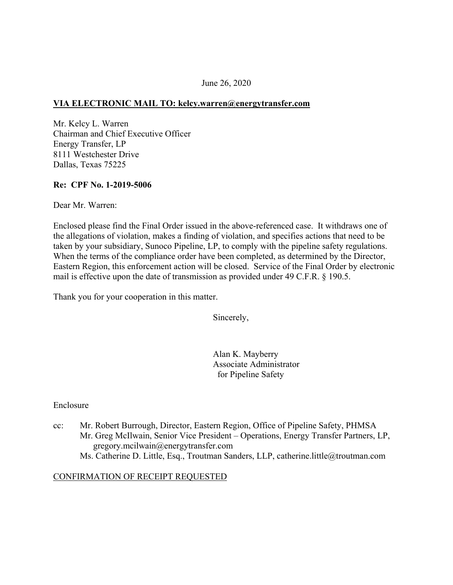## June 26, 2020

## **VIA ELECTRONIC MAIL TO: [kelcy.warren@energytransfer.com](mailto:kelcy.warren@energytransfer.com)**

Mr. Kelcy L. Warren Chairman and Chief Executive Officer Energy Transfer, LP 8111 Westchester Drive Dallas, Texas 75225

### **Re: CPF No. 1-2019-5006**

Dear Mr. Warren:

Enclosed please find the Final Order issued in the above-referenced case. It withdraws one of the allegations of violation, makes a finding of violation, and specifies actions that need to be taken by your subsidiary, Sunoco Pipeline, LP, to comply with the pipeline safety regulations. When the terms of the compliance order have been completed, as determined by the Director, Eastern Region, this enforcement action will be closed. Service of the Final Order by electronic mail is effective upon the date of transmission as provided under 49 C.F.R. § 190.5.

Thank you for your cooperation in this matter.

Sincerely,

Alan K. Mayberry Associate Administrator for Pipeline Safety

### Enclosure

cc: Mr. Robert Burrough, Director, Eastern Region, Office of Pipeline Safety, PHMSA Mr. Greg McIlwain, Senior Vice President – Operations, Energy Transfer Partners, LP, [gregory.mcilwain@energytransfer.com](mailto:gregory.mcilwain@energytransfer.com)  Ms. Catherine D. Little, Esq., Troutman Sanders, LLP, [catherine.little@troutman.com](mailto:catherine.little@troutman.com)

### CONFIRMATION OF RECEIPT REQUESTED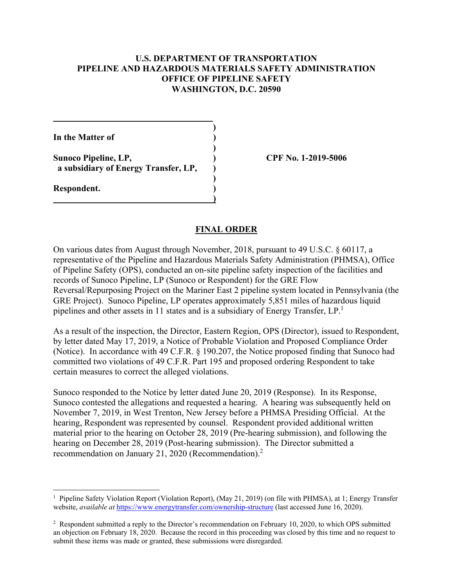# **U.S. DEPARTMENT OF TRANSPORTATION PIPELINE AND HAZARDOUS MATERIALS SAFETY ADMINISTRATION OFFICE OF PIPELINE SAFETY WASHINGTON, D.C. 20590**

**)** 

**)** 

**)** 

**)** 

**In the Matter of )** 

Sunoco Pipeline, LP, (2019-5006)  **a subsidiary of Energy Transfer, LP, )** 

**Respondent. )** 

1

## **FINAL ORDER**

On various dates from August through November, 2018, pursuant to 49 U.S.C. § 60117, a representative of the Pipeline and Hazardous Materials Safety Administration (PHMSA), Office of Pipeline Safety (OPS), conducted an on-site pipeline safety inspection of the facilities and records of Sunoco Pipeline, LP (Sunoco or Respondent) for the GRE Flow Reversal/Repurposing Project on the Mariner East 2 pipeline system located in Pennsylvania (the GRE Project). Sunoco Pipeline, LP operates approximately 5,851 miles of hazardous liquid pipelines and other assets in 11 states and is a subsidiary of Energy Transfer, LP.1

As a result of the inspection, the Director, Eastern Region, OPS (Director), issued to Respondent, by letter dated May 17, 2019, a Notice of Probable Violation and Proposed Compliance Order (Notice). In accordance with 49 C.F.R. § 190.207, the Notice proposed finding that Sunoco had committed two violations of 49 C.F.R. Part 195 and proposed ordering Respondent to take certain measures to correct the alleged violations.

Sunoco responded to the Notice by letter dated June 20, 2019 (Response). In its Response, Sunoco contested the allegations and requested a hearing. A hearing was subsequently held on November 7, 2019, in West Trenton, New Jersey before a PHMSA Presiding Official. At the hearing, Respondent was represented by counsel. Respondent provided additional written material prior to the hearing on October 28, 2019 (Pre-hearing submission), and following the hearing on December 28, 2019 (Post-hearing submission). The Director submitted a recommendation on January 21, 2020 (Recommendation).<sup>2</sup>

<sup>&</sup>lt;sup>1</sup> Pipeline Safety Violation Report (Violation Report), (May 21, 2019) (on file with PHMSA), at 1; Energy Transfer website, *available at* <https://www.energytransfer.com/ownership-structure>(last accessed June 16, 2020).

<sup>&</sup>lt;sup>2</sup> Respondent submitted a reply to the Director's recommendation on February 10, 2020, to which OPS submitted an objection on February 18, 2020. Because the record in this proceeding was closed by this time and no request to submit these items was made or granted, these submissions were disregarded.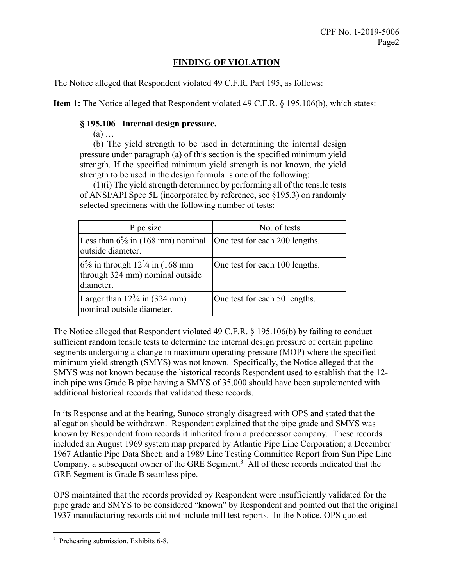# **FINDING OF VIOLATION**

The Notice alleged that Respondent violated 49 C.F.R. Part 195, as follows:

**Item 1:** The Notice alleged that Respondent violated 49 C.F.R. § 195.106(b), which states:

# **§ 195.106 Internal design pressure.**

(a) …

(b) The yield strength to be used in determining the internal design pressure under paragraph (a) of this section is the specified minimum yield strength. If the specified minimum yield strength is not known, the yield strength to be used in the design formula is one of the following:

(1)(i) The yield strength determined by performing all of the tensile tests of ANSI/API Spec 5L (incorporated by reference, see §195.3) on randomly selected specimens with the following number of tests:

| Pipe size                                                                                             | No. of tests                   |
|-------------------------------------------------------------------------------------------------------|--------------------------------|
| Less than $6\frac{5}{8}$ in (168 mm) nominal<br>outside diameter.                                     | One test for each 200 lengths. |
| $6\frac{5}{8}$ in through $12\frac{3}{4}$ in (168 mm)<br>through 324 mm) nominal outside<br>diameter. | One test for each 100 lengths. |
| Larger than $12\frac{3}{4}$ in (324 mm)<br>nominal outside diameter.                                  | One test for each 50 lengths.  |

The Notice alleged that Respondent violated 49 C.F.R. § 195.106(b) by failing to conduct sufficient random tensile tests to determine the internal design pressure of certain pipeline segments undergoing a change in maximum operating pressure (MOP) where the specified minimum yield strength (SMYS) was not known. Specifically, the Notice alleged that the SMYS was not known because the historical records Respondent used to establish that the 12 inch pipe was Grade B pipe having a SMYS of 35,000 should have been supplemented with additional historical records that validated these records.

In its Response and at the hearing, Sunoco strongly disagreed with OPS and stated that the allegation should be withdrawn. Respondent explained that the pipe grade and SMYS was known by Respondent from records it inherited from a predecessor company. These records included an August 1969 system map prepared by Atlantic Pipe Line Corporation; a December 1967 Atlantic Pipe Data Sheet; and a 1989 Line Testing Committee Report from Sun Pipe Line Company, a subsequent owner of the GRE Segment.<sup>3</sup> All of these records indicated that the GRE Segment is Grade B seamless pipe.

OPS maintained that the records provided by Respondent were insufficiently validated for the pipe grade and SMYS to be considered "known" by Respondent and pointed out that the original 1937 manufacturing records did not include mill test reports. In the Notice, OPS quoted

1

<sup>3</sup> Prehearing submission, Exhibits 6-8.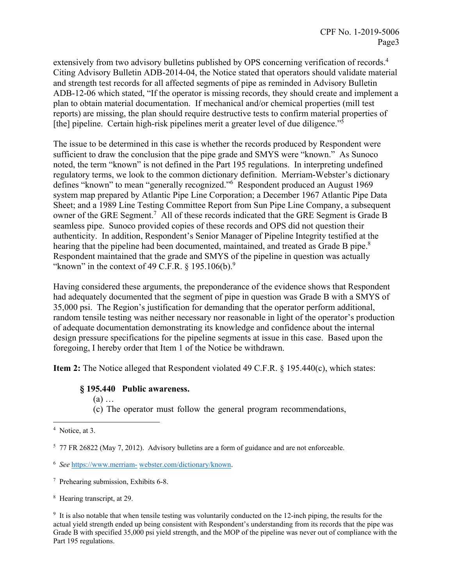extensively from two advisory bulletins published by OPS concerning verification of records.<sup>4</sup> Citing Advisory Bulletin ADB-2014-04, the Notice stated that operators should validate material and strength test records for all affected segments of pipe as reminded in Advisory Bulletin ADB-12-06 which stated, "If the operator is missing records, they should create and implement a plan to obtain material documentation. If mechanical and/or chemical properties (mill test reports) are missing, the plan should require destructive tests to confirm material properties of [the] pipeline. Certain high-risk pipelines merit a greater level of due diligence."<sup>5</sup>

hearing that the pipeline had been documented, maintained, and treated as Grade B pipe.<sup>8</sup> The issue to be determined in this case is whether the records produced by Respondent were sufficient to draw the conclusion that the pipe grade and SMYS were "known." As Sunoco noted, the term "known" is not defined in the Part 195 regulations. In interpreting undefined regulatory terms, we look to the common dictionary definition. Merriam-Webster's dictionary defines "known" to mean "generally recognized."6 Respondent produced an August 1969 system map prepared by Atlantic Pipe Line Corporation; a December 1967 Atlantic Pipe Data Sheet; and a 1989 Line Testing Committee Report from Sun Pipe Line Company, a subsequent owner of the GRE Segment.<sup>7</sup> All of these records indicated that the GRE Segment is Grade B seamless pipe. Sunoco provided copies of these records and OPS did not question their authenticity. In addition, Respondent's Senior Manager of Pipeline Integrity testified at the Respondent maintained that the grade and SMYS of the pipeline in question was actually "known" in the context of 49 C.F.R.  $\S$  195.106(b).<sup>9</sup>

Having considered these arguments, the preponderance of the evidence shows that Respondent had adequately documented that the segment of pipe in question was Grade B with a SMYS of 35,000 psi. The Region's justification for demanding that the operator perform additional, random tensile testing was neither necessary nor reasonable in light of the operator's production of adequate documentation demonstrating its knowledge and confidence about the internal design pressure specifications for the pipeline segments at issue in this case. Based upon the foregoing, I hereby order that Item 1 of the Notice be withdrawn.

**Item 2:** The Notice alleged that Respondent violated 49 C.F.R. § 195.440(c), which states:

### **§ 195.440 Public awareness.**

(a) …

(c) The operator must follow the general program recommendations,

<u>.</u>

<sup>&</sup>lt;sup>4</sup> Notice, at 3.

<sup>&</sup>lt;sup>5</sup> 77 FR 26822 (May 7, 2012). Advisory bulletins are a form of guidance and are not enforceable.

 <sup>6</sup>*See* <https://www.merriam>- [webster.com/dictionary/known](https://webster.com/dictionary/known).

<sup>7</sup> Prehearing submission, Exhibits 6-8.

<sup>8</sup> Hearing transcript, at 29.

 Grade B with specified 35,000 psi yield strength, and the MOP of the pipeline was never out of compliance with the <sup>9</sup> It is also notable that when tensile testing was voluntarily conducted on the 12-inch piping, the results for the actual yield strength ended up being consistent with Respondent's understanding from its records that the pipe was Part 195 regulations.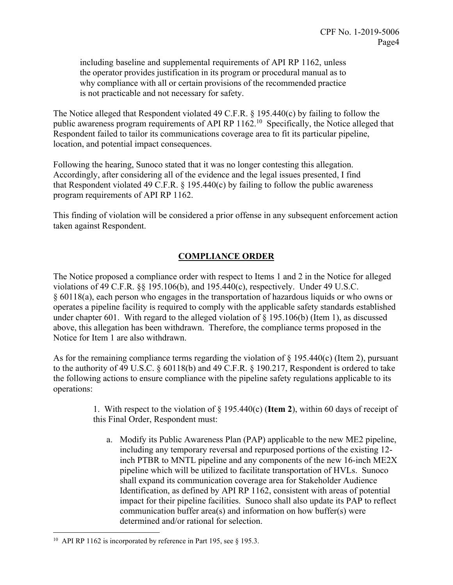including baseline and supplemental requirements of API RP 1162, unless the operator provides justification in its program or procedural manual as to why compliance with all or certain provisions of the recommended practice is not practicable and not necessary for safety.

The Notice alleged that Respondent violated 49 C.F.R. § 195.440(c) by failing to follow the public awareness program requirements of API RP  $1162$ <sup>10</sup> Specifically, the Notice alleged that Respondent failed to tailor its communications coverage area to fit its particular pipeline, location, and potential impact consequences.

Following the hearing, Sunoco stated that it was no longer contesting this allegation. Accordingly, after considering all of the evidence and the legal issues presented, I find that Respondent violated 49 C.F.R.  $\S$  195.440(c) by failing to follow the public awareness program requirements of API RP 1162.

This finding of violation will be considered a prior offense in any subsequent enforcement action taken against Respondent.

# **COMPLIANCE ORDER**

Notice for Item 1 are also withdrawn. The Notice proposed a compliance order with respect to Items 1 and 2 in the Notice for alleged violations of 49 C.F.R. §§ 195.106(b), and 195.440(c), respectively. Under 49 U.S.C. § 60118(a), each person who engages in the transportation of hazardous liquids or who owns or operates a pipeline facility is required to comply with the applicable safety standards established under chapter 601. With regard to the alleged violation of  $\S$  195.106(b) (Item 1), as discussed above, this allegation has been withdrawn. Therefore, the compliance terms proposed in the

As for the remaining compliance terms regarding the violation of  $\S$  195.440(c) (Item 2), pursuant to the authority of 49 U.S.C. § 60118(b) and 49 C.F.R. § 190.217, Respondent is ordered to take the following actions to ensure compliance with the pipeline safety regulations applicable to its operations:

> 1. With respect to the violation of § 195.440(c) (**Item 2**), within 60 days of receipt of this Final Order, Respondent must:

a. Modify its Public Awareness Plan (PAP) applicable to the new ME2 pipeline, including any temporary reversal and repurposed portions of the existing 12 inch PTBR to MNTL pipeline and any components of the new 16-inch ME2X pipeline which will be utilized to facilitate transportation of HVLs. Sunoco shall expand its communication coverage area for Stakeholder Audience Identification, as defined by API RP 1162, consistent with areas of potential impact for their pipeline facilities. Sunoco shall also update its PAP to reflect communication buffer area(s) and information on how buffer(s) were determined and/or rational for selection.

 $\overline{a}$ 

<sup>&</sup>lt;sup>10</sup> API RP 1162 is incorporated by reference in Part 195, see § 195.3.